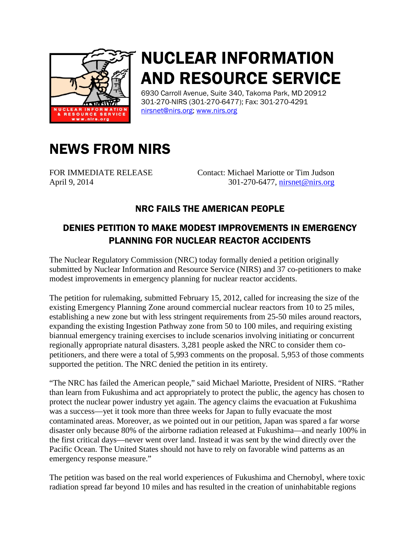

## NUCLEAR INFORMATION AND RESOURCE SERVICE

6930 Carroll Avenue, Suite 340, Takoma Park, MD 20912 301-270-NIRS (301-270-6477); Fax: 301-270-4291 [nirsnet@nirs.org;](mailto:nirsnet@nirs.org) [www.nirs.org](http://www.nirs.org/)

## NEWS FROM NIRS

FOR IMMEDIATE RELEASE Contact: Michael Mariotte or Tim Judson April 9, 2014 301-270-6477, [nirsnet@nirs.org](mailto:nirsnet@nirs.org)

## NRC FAILS THE AMERICAN PEOPLE

## DENIES PETITION TO MAKE MODEST IMPROVEMENTS IN EMERGENCY PLANNING FOR NUCLEAR REACTOR ACCIDENTS

The Nuclear Regulatory Commission (NRC) today formally denied a petition originally submitted by Nuclear Information and Resource Service (NIRS) and 37 co-petitioners to make modest improvements in emergency planning for nuclear reactor accidents.

The petition for rulemaking, submitted February 15, 2012, called for increasing the size of the existing Emergency Planning Zone around commercial nuclear reactors from 10 to 25 miles, establishing a new zone but with less stringent requirements from 25-50 miles around reactors, expanding the existing Ingestion Pathway zone from 50 to 100 miles, and requiring existing biannual emergency training exercises to include scenarios involving initiating or concurrent regionally appropriate natural disasters. 3,281 people asked the NRC to consider them copetitioners, and there were a total of 5,993 comments on the proposal. 5,953 of those comments supported the petition. The NRC denied the petition in its entirety.

"The NRC has failed the American people," said Michael Mariotte, President of NIRS. "Rather than learn from Fukushima and act appropriately to protect the public, the agency has chosen to protect the nuclear power industry yet again. The agency claims the evacuation at Fukushima was a success—yet it took more than three weeks for Japan to fully evacuate the most contaminated areas. Moreover, as we pointed out in our petition, Japan was spared a far worse disaster only because 80% of the airborne radiation released at Fukushima—and nearly 100% in the first critical days—never went over land. Instead it was sent by the wind directly over the Pacific Ocean. The United States should not have to rely on favorable wind patterns as an emergency response measure."

The petition was based on the real world experiences of Fukushima and Chernobyl, where toxic radiation spread far beyond 10 miles and has resulted in the creation of uninhabitable regions